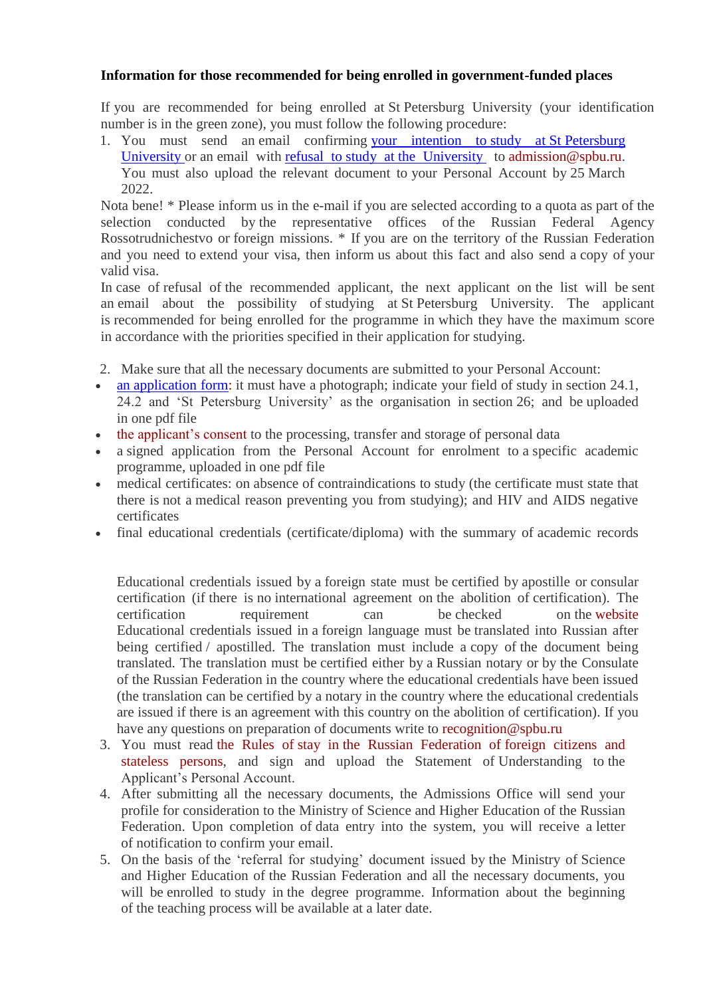## **Information for those recommended for being enrolled in government-funded places**

If you are recommended for being enrolled at St Petersburg University (your identification number is in the green zone), you must follow the following procedure:

1. You must send an email confirming [your intention to](https://abiturient.spbu.ru/files/2022/ino/soglasie_na_obychenie_en.pdf) study at St Petersburg [University](https://abiturient.spbu.ru/files/2022/ino/soglasie_na_obychenie_en.pdf) or an email with refusal to study at [the University](https://abiturient.spbu.ru/files/2022/ino/otkaz_ot_obycheniya_en.pdf) to [admission@spbu.ru.](mailto:admission@spbu.ru) You must also upload the relevant document to your Personal Account by 25 March 2022.

Nota bene! \* Please inform us in the e-mail if you are selected according to a quota as part of the selection conducted by the representative offices of the Russian Federal Agency Rossotrudnichestvo or foreign missions. \* If you are on the territory of the Russian Federation and you need to extend your visa, then inform us about this fact and also send a copy of your valid visa.

In case of refusal of the recommended applicant, the next applicant on the list will be sent an email about the possibility of studying at St Petersburg University. The applicant is recommended for being enrolled for the programme in which they have the maximum score in accordance with the priorities specified in their application for studying.

- 2. Make sure that all the necessary documents are submitted to your Personal Account:
- an [application form:](https://abiturient.spbu.ru/files/2022/ino/anketa_admission_form.docx) it must have a photograph; indicate your field of study in section 24.1, 24.2 and 'St Petersburg University' as the organisation in section 26; and be uploaded in one pdf file
- [the applicant's consent](https://abiturient.spbu.ru/files/2021/ino/admission/soglasie_ino_2021.docx) to the processing, transfer and storage of personal data
- a signed application from the Personal Account for enrolment to a specific academic programme, uploaded in one pdf file
- medical certificates: on absence of contraindications to study (the certificate must state that there is not a medical reason preventing you from studying); and HIV and AIDS negative certificates
- final educational credentials (certificate/diploma) with the summary of academic records

Educational credentials issued by a foreign state must be certified by apostille or consular certification (if there is no international agreement on the abolition of certification). The certification requirement can be checked on the [website](https://www.nic.gov.ru/ru/proc/lega) Educational credentials issued in a foreign language must be translated into Russian after being certified / apostilled. The translation must include a copy of the document being translated. The translation must be certified either by a Russian notary or by the Consulate of the Russian Federation in the country where the educational credentials have been issued (the translation can be certified by a notary in the country where the educational credentials are issued if there is an agreement with this country on the abolition of certification). If you have any questions on preparation of documents write to [recognition@spbu.ru](mailto:recognition@spbu.ru)

- 3. You must read the Rules of stay in [the Russian Federation of](https://ifea.spbu.ru/images/2019/pravila_prebyavaniya_eng.pdf) foreign citizens and [stateless persons,](https://ifea.spbu.ru/images/2019/pravila_prebyavaniya_eng.pdf) and sign and upload the Statement of Understanding to the Applicant's Personal Account.
- 4. After submitting all the necessary documents, the Admissions Office will send your profile for consideration to the Ministry of Science and Higher Education of the Russian Federation. Upon completion of data entry into the system, you will receive a letter of notification to confirm your email.
- 5. On the basis of the 'referral for studying' document issued by the Ministry of Science and Higher Education of the Russian Federation and all the necessary documents, you will be enrolled to study in the degree programme. Information about the beginning of the teaching process will be available at a later date.